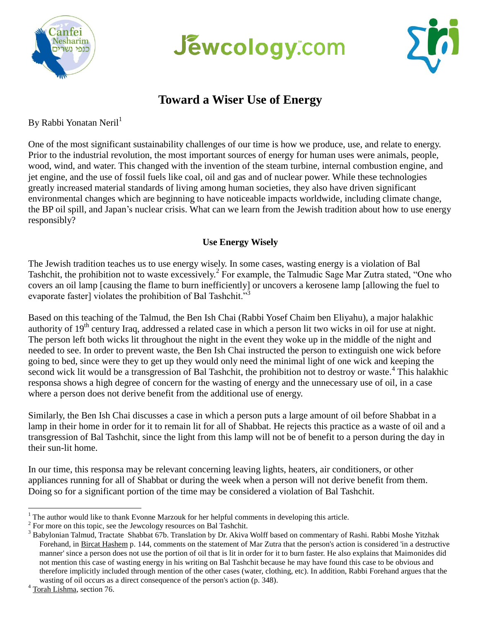





# **Toward a Wiser Use of Energy**

By Rabbi Yonatan Neril<sup>1</sup>

One of the most significant sustainability challenges of our time is how we produce, use, and relate to energy. Prior to the industrial revolution, the most important sources of energy for human uses were animals, people, wood, wind, and water. This changed with the invention of the steam turbine, internal combustion engine, and jet engine, and the use of fossil fuels like coal, oil and gas and of nuclear power. While these technologies greatly increased material standards of living among human societies, they also have driven significant environmental changes which are beginning to have noticeable impacts worldwide, including climate change, the BP oil spill, and Japan's nuclear crisis. What can we learn from the Jewish tradition about how to use energy responsibly?

## **Use Energy Wisely**

The Jewish tradition teaches us to use energy wisely. In some cases, wasting energy is a violation of Bal Tashchit, the prohibition not to waste excessively.<sup>2</sup> For example, the Talmudic Sage Mar Zutra stated, "One who covers an oil lamp [causing the flame to burn inefficiently] or uncovers a kerosene lamp [allowing the fuel to evaporate faster] violates the prohibition of Bal Tashchit."

Based on this teaching of the Talmud, the Ben Ish Chai (Rabbi Yosef Chaim ben Eliyahu), a major halakhic authority of  $19<sup>th</sup>$  century Iraq, addressed a related case in which a person lit two wicks in oil for use at night. The person left both wicks lit throughout the night in the event they woke up in the middle of the night and needed to see. In order to prevent waste, the Ben Ish Chai instructed the person to extinguish one wick before going to bed, since were they to get up they would only need the minimal light of one wick and keeping the second wick lit would be a transgression of Bal Tashchit, the prohibition not to destroy or waste.<sup>4</sup> This halakhic responsa shows a high degree of concern for the wasting of energy and the unnecessary use of oil, in a case where a person does not derive benefit from the additional use of energy.

Similarly, the Ben Ish Chai discusses a case in which a person puts a large amount of oil before Shabbat in a lamp in their home in order for it to remain lit for all of Shabbat. He rejects this practice as a waste of oil and a transgression of Bal Tashchit, since the light from this lamp will not be of benefit to a person during the day in their sun-lit home.

In our time, this responsa may be relevant concerning leaving lights, heaters, air conditioners, or other appliances running for all of Shabbat or during the week when a person will not derive benefit from them. Doing so for a significant portion of the time may be considered a violation of Bal Tashchit.

 $\overline{a}$  $1$ <sup>1</sup> The author would like to thank Evonne Marzouk for her helpful comments in developing this article.

 $2^{2}$  For more on this topic, see the Jewcology resources on Bal Tashchit.

<sup>&</sup>lt;sup>3</sup> Babylonian Talmud, Tractate Shabbat 67b. Translation by Dr. Akiva Wolff based on commentary of Rashi. Rabbi Moshe Yitzhak Forehand, in Bircat Hashem p. 144, comments on the statement of Mar Zutra that the person's action is considered 'in a destructive manner' since a person does not use the portion of oil that is lit in order for it to burn faster. He also explains that Maimonides did not mention this case of wasting energy in his writing on Bal Tashchit because he may have found this case to be obvious and therefore implicitly included through mention of the other cases (water, clothing, etc). In addition, Rabbi Forehand argues that the wasting of oil occurs as a direct consequence of the person's action (p. 348).

<sup>&</sup>lt;sup>4</sup> Torah Lishma, section 76.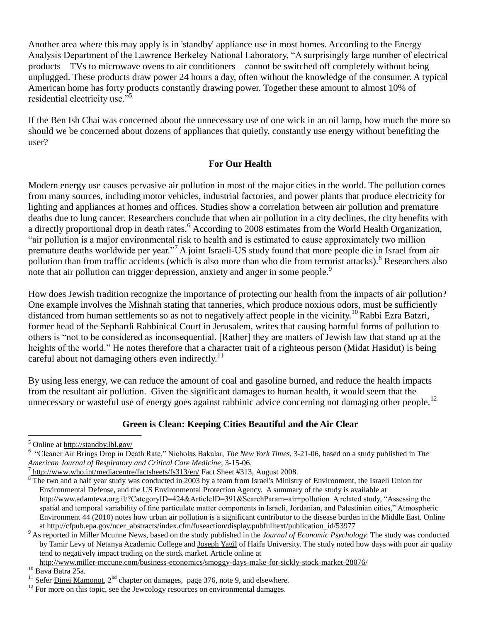Another area where this may apply is in 'standby' appliance use in most homes. According to the Energy Analysis Department of the Lawrence Berkeley National Laboratory, "A surprisingly large number of electrical products—TVs to microwave ovens to air conditioners—cannot be switched off completely without being unplugged. These products draw power 24 hours a day, often without the knowledge of the consumer. A typical American home has forty products constantly drawing power. Together these amount to almost 10% of residential electricity use."<sup>5</sup>

If the Ben Ish Chai was concerned about the unnecessary use of one wick in an oil lamp, how much the more so should we be concerned about dozens of appliances that quietly, constantly use energy without benefiting the user?

## **For Our Health**

Modern energy use causes pervasive air pollution in most of the major cities in the world. The pollution comes from many sources, including motor vehicles, industrial factories, and power plants that produce electricity for lighting and appliances at homes and offices. Studies show a correlation between air pollution and premature deaths due to lung cancer. Researchers conclude that when air pollution in a city declines, the city benefits with a directly proportional drop in death rates.<sup>6</sup> According to 2008 estimates from the World Health Organization, "air pollution is a major environmental risk to health and is estimated to cause approximately two million premature deaths worldwide per year."<sup>7</sup> A joint Israeli-US study found that more people die in Israel from air pollution than from traffic accidents (which is also more than who die from terrorist attacks).<sup>8</sup> Researchers also note that air pollution can trigger depression, anxiety and anger in some people.<sup>9</sup>

How does Jewish tradition recognize the importance of protecting our health from the impacts of air pollution? One example involves the Mishnah stating that tanneries, which produce noxious odors, must be sufficiently distanced from human settlements so as not to negatively affect people in the vicinity.<sup>10</sup> Rabbi Ezra Batzri, former head of the Sephardi Rabbinical Court in Jerusalem, writes that causing harmful forms of pollution to others is "not to be considered as inconsequential. [Rather] they are matters of Jewish law that stand up at the heights of the world." He notes therefore that a character trait of a righteous person (Midat Hasidut) is being careful about not damaging others even indirectly.<sup>11</sup>

By using less energy, we can reduce the amount of coal and gasoline burned, and reduce the health impacts from the resultant air pollution. Given the significant damages to human health, it would seem that the unnecessary or wasteful use of energy goes against rabbinic advice concerning not damaging other people.<sup>12</sup>

## **Green is Clean: Keeping Cities Beautiful and the Air Clear**

<sup>5</sup> Online at<http://standby.lbl.gov/>

<sup>6</sup> "Cleaner Air Brings Drop in Death Rate," Nicholas Bakalar, *The New York Times*, 3-21-06, based on a study published in *The American Journal of Respiratory and Critical Care Medicine*, 3-15-06.

<sup>&</sup>lt;sup>7</sup> <http://www.who.int/mediacentre/factsheets/fs313/en/> Fact Sheet #313, August 2008.

 $8$  The two and a half year study was conducted in 2003 by a team from Israel's Ministry of Environment, the Israeli Union for Environmental Defense, and the US Environmental Protection Agency. A summary of the study is available at http://www.adamteva.org.il/?CategoryID=424&ArticleID=391&SearchParam=air+pollution A related study, "Assessing the spatial and temporal variability of fine particulate matter components in Israeli, Jordanian, and Palestinian cities," Atmospheric Environment 44 (2010) notes how urban air pollution is a significant contributor to the disease burden in the Middle East. Online at http://cfpub.epa.gov/ncer\_abstracts/index.cfm/fuseaction/display.pubfulltext/publication\_id/53977

<sup>9</sup> As reported in Miller Mcunne News, based on the study published in the *Journal of Economic Psychology.* The study was conducted by Tamir Levy of Netanya Academic College and [Joseph Yagil](http://lecturer.haifa.ac.il/ows-win/on_822_YagilCv10w.pdf) of Haifa University. The study noted how days with poor air quality tend to negatively impact trading on the stock market. Article online at

<http://www.miller-mccune.com/business-economics/smoggy-days-make-for-sickly-stock-market-28076/>

 $10$  Bava Batra 25a.

<sup>&</sup>lt;sup>11</sup> Sefer Dinei Mamonot,  $2<sup>nd</sup>$  chapter on damages, page 376, note 9, and elsewhere.

 $12$  For more on this topic, see the Jewcology resources on environmental damages.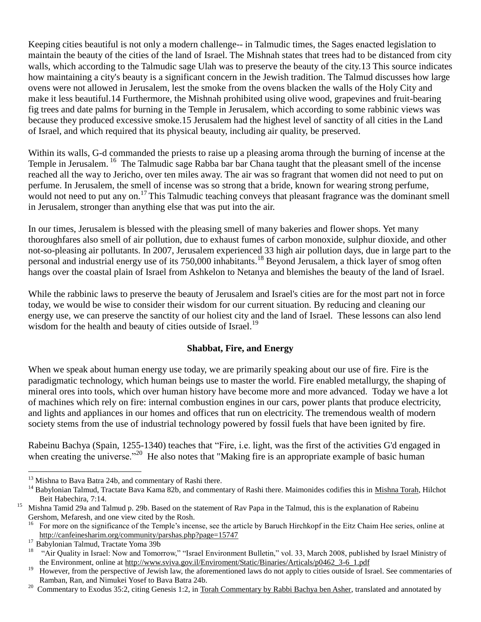Keeping cities beautiful is not only a modern challenge-- in Talmudic times, the Sages enacted legislation to maintain the beauty of the cities of the land of Israel. The Mishnah states that trees had to be distanced from city walls, which according to the Talmudic sage Ulah was to preserve the beauty of the city.13 This source indicates how maintaining a city's beauty is a significant concern in the Jewish tradition. The Talmud discusses how large ovens were not allowed in Jerusalem, lest the smoke from the ovens blacken the walls of the Holy City and make it less beautiful.14 Furthermore, the Mishnah prohibited using olive wood, grapevines and fruit-bearing fig trees and date palms for burning in the Temple in Jerusalem, which according to some rabbinic views was because they produced excessive smoke.15 Jerusalem had the highest level of sanctity of all cities in the Land of Israel, and which required that its physical beauty, including air quality, be preserved.

Within its walls, G-d commanded the priests to raise up a pleasing aroma through the burning of incense at the Temple in Jerusalem. <sup>16</sup> The Talmudic sage Rabba bar bar Chana taught that the pleasant smell of the incense reached all the way to Jericho, over ten miles away. The air was so fragrant that women did not need to put on perfume. In Jerusalem, the smell of incense was so strong that a bride, known for wearing strong perfume, would not need to put any on.<sup>17</sup> This Talmudic teaching conveys that pleasant fragrance was the dominant smell in Jerusalem, stronger than anything else that was put into the air.

In our times, Jerusalem is blessed with the pleasing smell of many bakeries and flower shops. Yet many thoroughfares also smell of air pollution, due to exhaust fumes of carbon monoxide, sulphur dioxide, and other not-so-pleasing air pollutants. In 2007, Jerusalem experienced 33 high air pollution days, due in large part to the personal and industrial energy use of its 750,000 inhabitants.<sup>18</sup> Beyond Jerusalem, a thick layer of smog often hangs over the coastal plain of Israel from Ashkelon to Netanya and blemishes the beauty of the land of Israel.

While the rabbinic laws to preserve the beauty of Jerusalem and Israel's cities are for the most part not in force today, we would be wise to consider their wisdom for our current situation. By reducing and cleaning our energy use, we can preserve the sanctity of our holiest city and the land of Israel. These lessons can also lend wisdom for the health and beauty of cities outside of Israel.<sup>19</sup>

## **Shabbat, Fire, and Energy**

When we speak about human energy use today, we are primarily speaking about our use of fire. Fire is the paradigmatic technology, which human beings use to master the world. Fire enabled metallurgy, the shaping of mineral ores into tools, which over human history have become more and more advanced. Today we have a lot of machines which rely on fire: internal combustion engines in our cars, power plants that produce electricity, and lights and appliances in our homes and offices that run on electricity. The tremendous wealth of modern society stems from the use of industrial technology powered by fossil fuels that have been ignited by fire.

Rabeinu Bachya (Spain, 1255-1340) teaches that "Fire, i.e. light, was the first of the activities G'd engaged in when creating the universe."<sup>20</sup> He also notes that "Making fire is an appropriate example of basic human

<sup>&</sup>lt;sup>13</sup> Mishna to Bava Batra 24b, and commentary of Rashi there.

<sup>&</sup>lt;sup>14</sup> Babylonian Talmud, Tractate Bava Kama 82b, and commentary of Rashi there. Maimonides codifies this in Mishna Torah, Hilchot Beit Habechira, 7:14.

<sup>&</sup>lt;sup>15</sup> Mishna Tamid 29a and Talmud p. 29b. Based on the statement of Rav Papa in the Talmud, this is the explanation of Rabeinu Gershom, Mefaresh, and one view cited by the Rosh.

<sup>16</sup> For more on the significance of the Temple's incense, see the article by Baruch Hirchkopf in the Eitz Chaim Hee series, online at <http://canfeinesharim.org/community/parshas.php?page=15747>

 $^{17}$  Babylonian Talmud, Tractate Yoma 39b

<sup>18</sup> "Air Quality in Israel: Now and Tomorrow," "Israel Environment Bulletin," vol. 33, March 2008, published by Israel Ministry of the Environment, online at [http://www.sviva.gov.il/Enviroment/Static/Binaries/Articals/p0462\\_3-6\\_1.pdf](http://www.sviva.gov.il/Enviroment/Static/Binaries/Articals/p0462_3-6_1.pdf)

<sup>&</sup>lt;sup>19</sup> However, from the perspective of Jewish law, the aforementioned laws do not apply to cities outside of Israel. See commentaries of Ramban, Ran, and Nimukei Yosef to Bava Batra 24b.

<sup>&</sup>lt;sup>20</sup> Commentary to Exodus 35:2, citing Genesis 1:2, in Torah Commentary by Rabbi Bachya ben Asher, translated and annotated by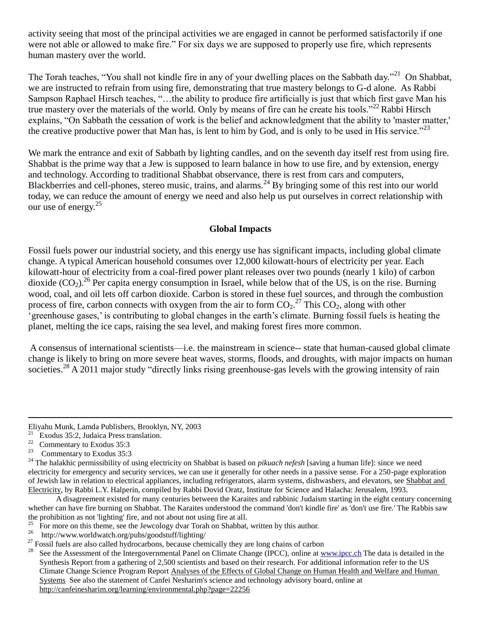activity seeing that most of the principal activities we are engaged in cannot be performed satisfactorily if one were not able or allowed to make fire." For six days we are supposed to properly use fire, which represents human mastery over the world.

The Torah teaches, "You shall not kindle fire in any of your dwelling places on the Sabbath day."<sup>21</sup> On Shabbat, we are instructed to refrain from using fire, demonstrating that true mastery belongs to G-d alone. As Rabbi Sampson Raphael Hirsch teaches, "…the ability to produce fire artificially is just that which first gave Man his true mastery over the materials of the world. Only by means of fire can he create his tools."<sup>22</sup> Rabbi Hirsch explains, "On Sabbath the cessation of work is the belief and acknowledgment that the ability to 'master matter,' the creative productive power that Man has, is lent to him by God, and is only to be used in His service.<sup>"23</sup>

We mark the entrance and exit of Sabbath by lighting candles, and on the seventh day itself rest from using fire. Shabbat is the prime way that a Jew is supposed to learn balance in how to use fire, and by extension, energy and technology. According to traditional Shabbat observance, there is rest from cars and computers, Blackberries and cell-phones, stereo music, trains, and alarms.<sup>24</sup> By bringing some of this rest into our world today, we can reduce the amount of energy we need and also help us put ourselves in correct relationship with our use of energy.<sup>25</sup>

#### **Global Impacts**

Fossil fuels power our industrial society, and this energy use has significant impacts, including global climate change. A typical American household consumes over 12,000 kilowatt-hours of electricity per year. Each kilowatt-hour of electricity from a coal-fired power plant releases over two pounds (nearly 1 kilo) of carbon dioxide  $(CO_2)$ <sup>26</sup> Per capita energy consumption in Israel, while below that of the US, is on the rise. Burning wood, coal, and oil lets off carbon dioxide. Carbon is stored in these fuel sources, and through the combustion process of fire, carbon connects with oxygen from the air to form  $CO_2$ .<sup>27</sup> This  $CO_2$ , along with other 'greenhouse gases,' is contributing to global changes in the earth's climate. Burning fossil fuels is heating the planet, melting the ice caps, raising the sea level, and making forest fires more common.

A consensus of international scientists—i.e. the mainstream in science-- state that human-caused global climate change is likely to bring on more severe heat waves, storms, floods, and droughts, with major impacts on human societies.<sup>28</sup> A 2011 major study "directly links rising greenhouse-gas levels with the growing intensity of rain

Eliyahu Munk, Lamda Publishers, Brooklyn, NY, 2003

<sup>&</sup>lt;sup>21</sup> Exodus 35:2, Judaica Press translation.<br><sup>22</sup> Commontant to Fundus  $35:3$ 

<sup>&</sup>lt;sup>22</sup> Commentary to Exodus 35:3<br> **Commentary to Exodus 35:3** 

Commentary to Exodus 35:3

<sup>&</sup>lt;sup>24</sup> The halakhic permissibility of using electricity on Shabbat is based on *pikuach nefesh* [saving a human life]: since we need electricity for emergency and security services, we can use it generally for other needs in a passive sense. For a 250-page exploration of Jewish law in relation to electrical appliances, including refrigerators, alarm systems, dishwashers, and elevators, see Shabbat and Electricity, by Rabbi L.Y. Halperin, compiled by Rabbi Dovid Oratz, Institute for Science and Halacha: Jerusalem, 1993.

A disagreement existed for many centuries between the Karaites and rabbinic Judaism starting in the eight century concerning whether can have fire burning on Shabbat. The Karaites understood the command 'don't kindle fire' as 'don't use fire.' The Rabbis saw the prohibition as not 'lighting' fire, and not about not using fire at all.

<sup>25</sup> For more on this theme, see the Jewcology dvar Torah on Shabbat, written by this author.

<sup>26</sup> http://www.worldwatch.org/pubs/goodstuff/lighting/

<sup>&</sup>lt;sup>27</sup> Fossil fuels are also called hydrocarbons, because chemically they are long chains of carbon<br><sup>28</sup> See the Assessment of the Intergovernmental Panel on Climate Change (IPCC), online at w

See the Assessment of the Intergovernmental Panel on Climate Change (IPCC), online at [www.ipcc.ch](http://www.ipcc.ch/) The data is detailed in the Synthesis Report from a gathering of 2,500 scientists and based on their research. For additional information refer to the US Climate Change Science Program Report [Analyses of the Effects of Global Change on Human Health and Welfare and Human](http://www.climatescience.gov/Library/sap/sap4-6/final-report)  [Systems](http://www.climatescience.gov/Library/sap/sap4-6/final-report) See also the statement of Canfei Nesharim's science and technology advisory board, online at <http://canfeinesharim.org/learning/environmental.php?page=22256>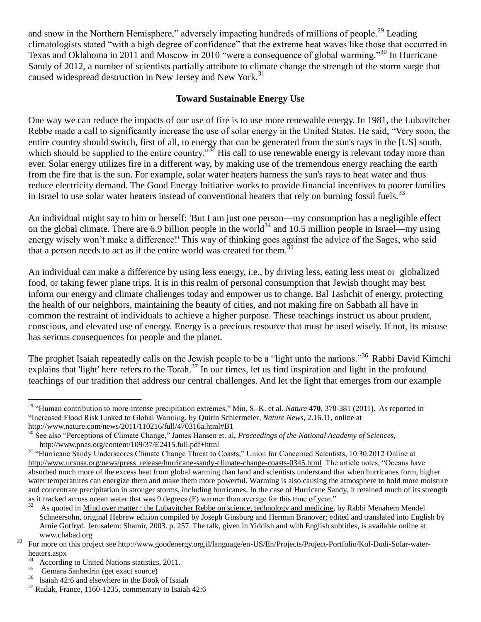and snow in the Northern Hemisphere," adversely impacting hundreds of millions of people.<sup>29</sup> Leading climatologists stated "with a high degree of confidence" that the extreme heat waves like those that occurred in Texas and Oklahoma in 2011 and Moscow in 2010 "were a consequence of global warming."<sup>30</sup> In Hurricane Sandy of 2012, a number of scientists partially attribute to climate change the strength of the storm surge that caused widespread destruction in New Jersey and New York.<sup>31</sup>

## **Toward Sustainable Energy Use**

One way we can reduce the impacts of our use of fire is to use more renewable energy. In 1981, the Lubavitcher Rebbe made a call to significantly increase the use of solar energy in the United States. He said, "Very soon, the entire country should switch, first of all, to energy that can be generated from the sun's rays in the [US] south, which should be supplied to the entire country.<sup>33</sup> His call to use renewable energy is relevant today more than ever. Solar energy utilizes fire in a different way, by making use of the tremendous energy reaching the earth from the fire that is the sun. For example, solar water heaters harness the sun's rays to heat water and thus reduce electricity demand. The Good Energy Initiative works to provide financial incentives to poorer families in Israel to use solar water heaters instead of conventional heaters that rely on burning fossil fuels.<sup>33</sup>

An individual might say to him or herself: 'But I am just one person—my consumption has a negligible effect on the global climate. There are 6.9 billion people in the world<sup>34</sup> and 10.5 million people in Israel—my using energy wisely won't make a difference!' This way of thinking goes against the advice of the Sages, who said that a person needs to act as if the entire world was created for them.<sup>35</sup>

An individual can make a difference by using less energy, i.e., by driving less, eating less meat or globalized food, or taking fewer plane trips. It is in this realm of personal consumption that Jewish thought may best inform our energy and climate challenges today and empower us to change. Bal Tashchit of energy, protecting the health of our neighbors, maintaining the beauty of cities, and not making fire on Sabbath all have in common the restraint of individuals to achieve a higher purpose. These teachings instruct us about prudent, conscious, and elevated use of energy. Energy is a precious resource that must be used wisely. If not, its misuse has serious consequences for people and the planet.

The prophet Isaiah repeatedly calls on the Jewish people to be a "light unto the nations."<sup>36</sup> Rabbi David Kimchi explains that 'light' here refers to the Torah.<sup>37</sup> In our times, let us find inspiration and light in the profound teachings of our tradition that address our central challenges. And let the light that emerges from our example

<sup>29</sup> "Human contribution to more-intense precipitation extremes," Min, S.-K. et al. *Nature* **470**, 378-381 (2011). As reported in "Increased Flood Risk Linked to Global Warming, by Quirin Schiermeier, *Nature News*, 2.16.11, online at http://www.nature.com/news/2011/110216/full/470316a.html#B1

<sup>&</sup>lt;sup>30</sup> See also "Perceptions of Climate Change," James Hansen et. al, *Proceedings of the National Academy of Sciences*, <http://www.pnas.org/content/109/37/E2415.full.pdf+html>

<sup>&</sup>lt;sup>31</sup> "Hurricane Sandy Underscores Climate Change Threat to Coasts," Union for Concerned Scientists, 10.30.2012 Online at [http://www.ucsusa.org/news/press\\_release/hurricane-sandy-climate-change-coasts-0345.html](http://www.ucsusa.org/news/press_release/hurricane-sandy-climate-change-coasts-0345.html) The article notes, "Oceans have absorbed much more of the excess heat from global warming than land and scientists understand that when hurricanes form, higher water temperatures can energize them and make them more powerful. Warming is also causing the atmosphere to hold more moisture and concentrate precipitation in stronger storms, including hurricanes. In the case of Hurricane Sandy, it retained much of its strength as it tracked across ocean water that was 9 degrees (F) warmer than average for this time of year."

<sup>32</sup> As quoted in Mind over matter : the Lubavitcher Rebbe on science, technology and medicine, by Rabbi Menahem Mendel Schneersohn, original Hebrew edition compiled by Joseph Ginsburg and Herman Branover; edited and translated into English by Arnie Gotfryd. Jerusalem: Shamir, 2003. p. 257. The talk, given in Yiddish and with English subtitles, is available online at www.chabad.org

<sup>&</sup>lt;sup>33</sup> For more on this project see http://www.goodenergy.org.il/language/en-US/En/Projects/Project-Portfolio/Kol-Dudi-Solar-waterheaters.aspx

 $\frac{34}{35}$  According to United Nations statistics, 2011.

<sup>&</sup>lt;sup>35</sup> Gemara Sanhedrin (get exact source)<br><sup>36</sup> Jeaish 42:6 and elsewhere in the Book

Isaiah 42:6 and elsewhere in the Book of Isaiah

 $37$  Radak, France, 1160-1235, commentary to Isaiah 42:6